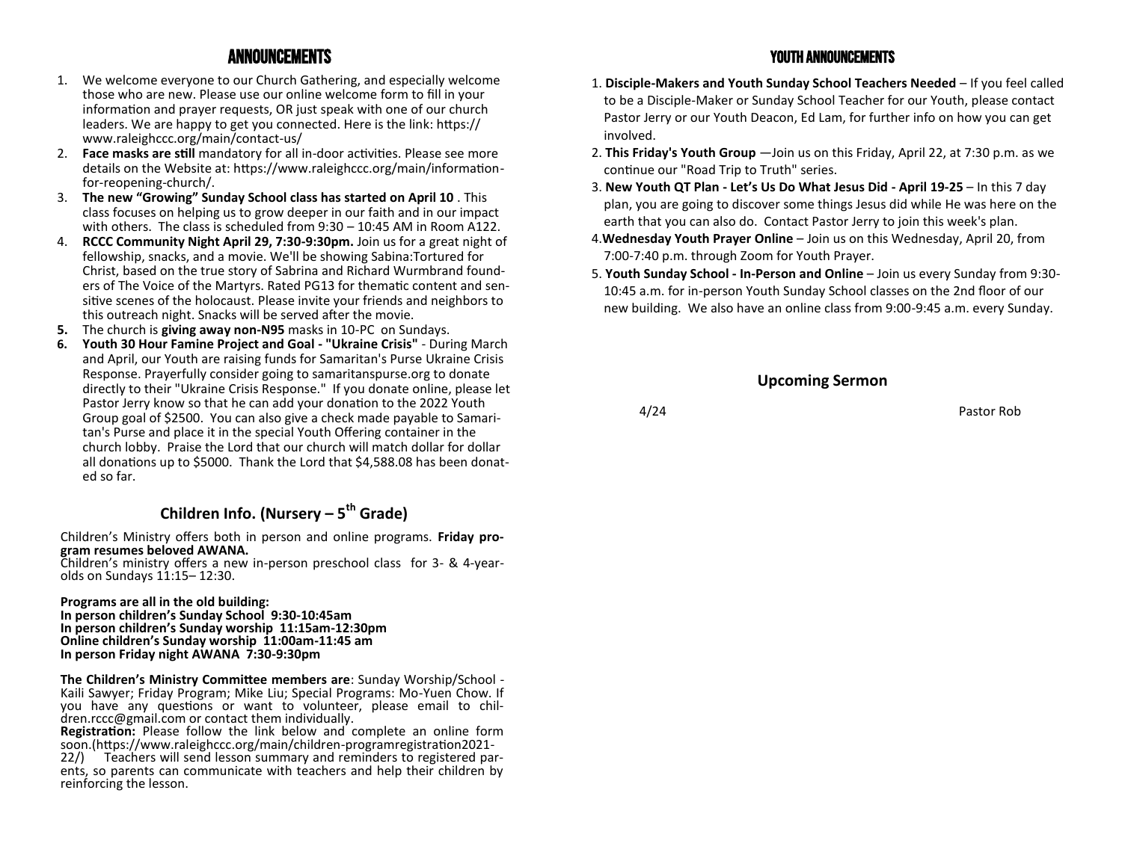- 1. We welcome everyone to our Church Gathering, and especially welcome those who are new. Please use our online welcome form to fill in your information and prayer requests, OR just speak with one of our church leaders. We are happy to get you connected. Here is the link: https:// www.raleighccc.org/main/contact-us/
- 2. **Face masks are still** mandatory for all in-door activities. Please see more details on the Website at: https://www.raleighccc.org/main/informationfor-reopening-church/.
- 3. **The new "Growing" Sunday School class has started on April 10** . This class focuses on helping us to grow deeper in our faith and in our impact with others. The class is scheduled from 9:30 – 10:45 AM in Room A122.
- 4. **RCCC Community Night April 29, 7:30-9:30pm.** Join us for a great night of fellowship, snacks, and a movie. We'll be showing Sabina:Tortured for Christ, based on the true story of Sabrina and Richard Wurmbrand founders of The Voice of the Martyrs. Rated PG13 for thematic content and sensitive scenes of the holocaust. Please invite your friends and neighbors to this outreach night. Snacks will be served after the movie.
- **5.** The church is **giving away non-N95** masks in 10-PC on Sundays.
- **6. Youth 30 Hour Famine Project and Goal - "Ukraine Crisis"**  During March and April, our Youth are raising funds for Samaritan's Purse Ukraine Crisis Response. Prayerfully consider going to samaritanspurse.org to donate directly to their "Ukraine Crisis Response." If you donate online, please let Pastor Jerry know so that he can add your donation to the 2022 Youth Group goal of \$2500. You can also give a check made payable to Samaritan's Purse and place it in the special Youth Offering container in the church lobby. Praise the Lord that our church will match dollar for dollar all donations up to \$5000. Thank the Lord that \$4,588.08 has been donated so far.

## **Children Info. (Nursery – 5 th Grade)**

Children's Ministry offers both in person and online programs. **Friday program resumes beloved AWANA.** 

Children's ministry offers a new in-person preschool class for 3- & 4-yearolds on Sundays 11:15– 12:30.

#### **Programs are all in the old building:**

**In person children's Sunday School 9:30-10:45am In person children's Sunday worship 11:15am-12:30pm Online children's Sunday worship 11:00am-11:45 am In person Friday night AWANA 7:30-9:30pm** 

**The Children's Ministry Committee members are**: Sunday Worship/School - Kaili Sawyer; Friday Program; Mike Liu; Special Programs: Mo-Yuen Chow. If you have any questions or want to volunteer, please email to children.rccc@gmail.com or contact them individually.

**Registration:** Please follow the link below and complete an online form soon.(https://www.raleighccc.org/main/children-programregistration2021-

22/) Teachers will send lesson summary and reminders to registered parents, so parents can communicate with teachers and help their children by reinforcing the lesson.

### Announcements Youth Announcements

- 1. **Disciple-Makers and Youth Sunday School Teachers Needed**  If you feel called to be a Disciple-Maker or Sunday School Teacher for our Youth, please contact Pastor Jerry or our Youth Deacon, Ed Lam, for further info on how you can get involved.
- 2. **This Friday's Youth Group** —Join us on this Friday, April 22, at 7:30 p.m. as we continue our "Road Trip to Truth" series.
- 3. **New Youth QT Plan - Let's Us Do What Jesus Did - April 19-25** In this 7 day plan, you are going to discover some things Jesus did while He was here on the earth that you can also do. Contact Pastor Jerry to join this week's plan.
- 4.**Wednesday Youth Prayer Online**  Join us on this Wednesday, April 20, from 7:00-7:40 p.m. through Zoom for Youth Prayer.
- 5. **Youth Sunday School - In-Person and Online** Join us every Sunday from 9:30- 10:45 a.m. for in-person Youth Sunday School classes on the 2nd floor of our new building. We also have an online class from 9:00-9:45 a.m. every Sunday.

### **Upcoming Sermon**

4/24 Pastor Rob